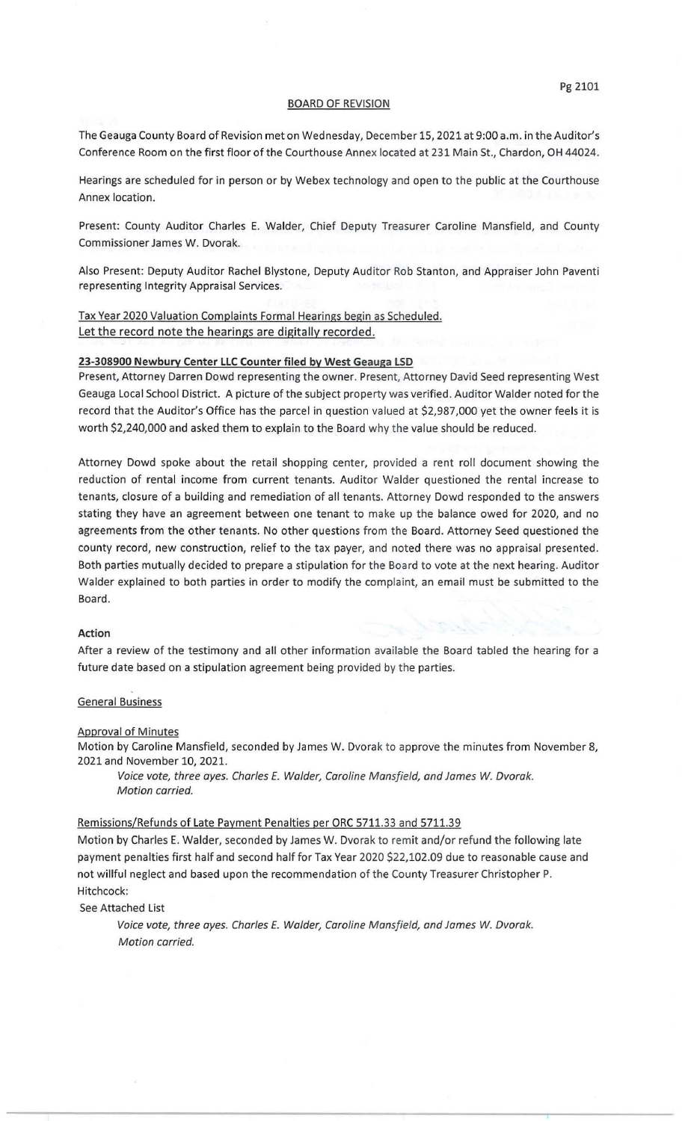## BOARD OF REVISION

The Geauga County Board of Revision met on Wednesday, December 15, 2021 at 9:00 a.m. in the Auditor's Conference Room on the first floor of the Courthouse Annex located at 231 Main St., Chardon, OH 44024.

Hearings are scheduled for in person or by Webex technology and open to the public at the Courthouse Annex location.

Present: County Auditor Charles E. Walder, Chief Deputy Treasurer Caroline Mansfield, and County Commissioner James W. Dvorak.

Also Present: Deputy Auditor Rachel Blystone, Deputy Auditor Rob Stanton, and Appraiser John Paventi representing Integrity Appraisal Services.

# Tax Year 2020 Valuation Complaints Formal Hearings begin as Scheduled. Let the record note the hearings are digitally recorded.

## 23-308900 Newbury Center LLC Counter filed by West Geauga LSD

Present, Attorney Darren Dowd representing the owner. Present, Attorney David Seed representing West Geauga Local School District. A picture of the subject property was verified. Auditor Walder noted for the record that the Auditor's Office has the parcel in question valued at \$2,987,000 yet the owner feels it is worth \$2,240,000 and asked them to explain to the Board why the value should be reduced.

Attorney Dowd spoke about the retail shopping center, provided a rent roll document showing the reduction of rental income from current tenants. Auditor Walder questioned the rental increase to tenants, closure of a building and remediation of all tenants. Attorney Dowd responded to the answers stating they have an agreement between one tenant to make up the balance owed for 2020, and no agreements from the other tenants. No other questions from the Board. Attorney Seed questioned the county record, new construction, relief to the tax payer, and noted there was no appraisal presented. Both parties mutually decided to prepare a stipulation for the Board to vote at the next hearing. Auditor Walder explained to both parties in order to modify the complaint, an email must be submitted to the Board.

## Action

After a review of the testimony and all other information available the Board tabled the hearing for a future date based on a stipulation agreement being provided by the parties.

#### General Business

#### Approval of Minutes

Motion by Caroline Mansfield, seconded by James W. Dvorak to approve the minutes from November 8, 2021 and November 10, 2021.

Voice vote, three ayes. Charles E. Walder, Caroline Mansfield, and James *W.* Dvorak. Motion carried.

#### Remissions/Refunds of Late Payment Penalties per ORC 5711.33 and 5711.39

Motion by Charles E. Walder, seconded by James W. Dvorak to remit and/or refund the following late payment penalties first half and second half for Tax Year 2020 \$22,102.09 due to reasonable cause and not willful neglect and based upon the recommendation of the County Treasurer Christopher P. Hitchcock:

See Attached List

Voice vote, three ayes. Charles E. Walder, Caroline Mansfield, and James *W.* Dvorak. Motion carried.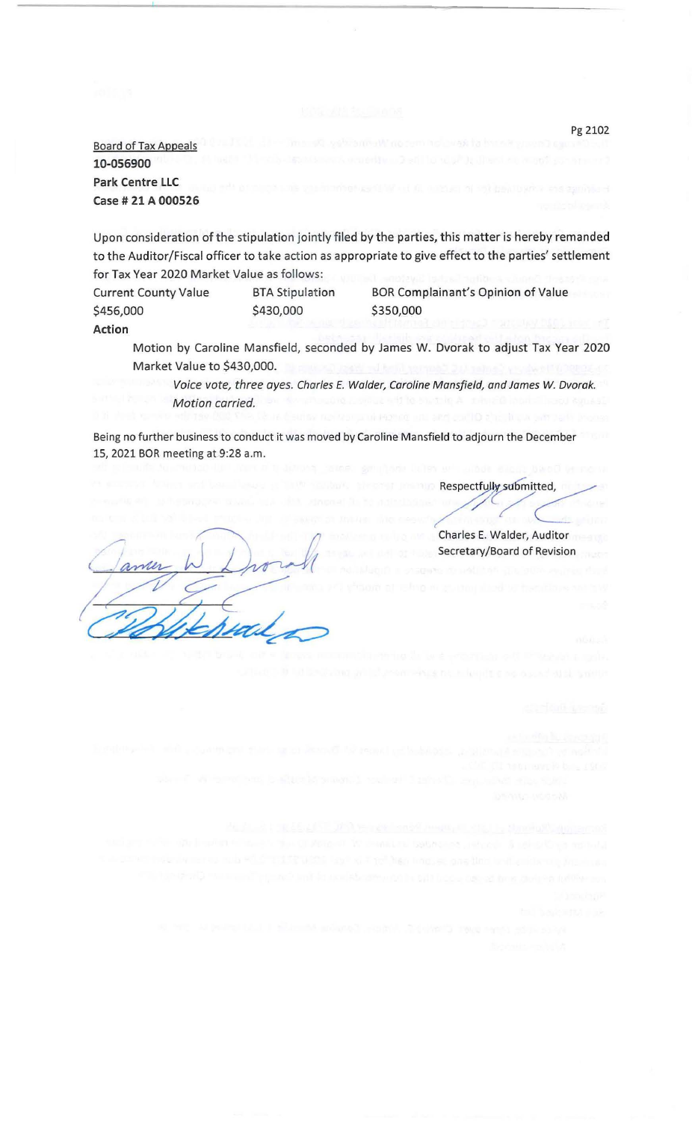Board of Tax Appeals **10-056900 Park Centre LLC Case# 21 A 000526** 

Upon consideration of the stipulation jointly filed by the parties, this matter is hereby remanded to the Auditor/Fiscal officer to take action as appropriate to give effect to the parties' settlement for Tax Year 2020 Market Value as follows:

Current County Value \$456,000 BTA Stipulation \$430,000 **Action** 

BOR Complainant's Opinion of Value \$350,000

Motion by Caroline Mansfield, seconded by James W. Dvorak to adjust Tax Year 2020 Market Value to \$430,000.

Voice vote, three ayes. Charles E. Walder, Caroline Mansfield, and James *W.* Dvorak. Motion carried.

Being no further business to conduct it was moved by Caroline Mansfield to adjourn the December 15, 2021 BOR meeting at 9:28a.m.

Respectfully submitted,

Charles E. Walder, Auditor Secretary/Board of Revision

Pg 2102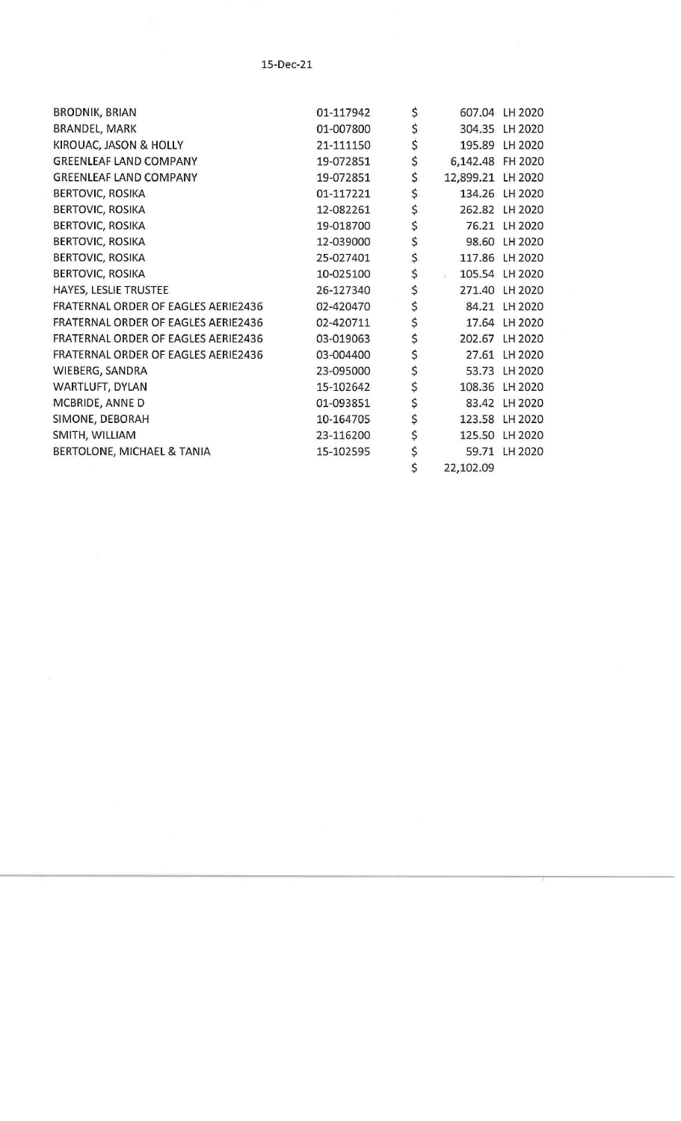# 15-Dec-21

| <b>BRODNIK, BRIAN</b>                      | 01-117942 | \$                      | 607.04 LH 2020 |
|--------------------------------------------|-----------|-------------------------|----------------|
| BRANDEL, MARK                              | 01-007800 | \$                      | 304.35 LH 2020 |
| KIROUAC, JASON & HOLLY                     | 21-111150 | \$                      | 195.89 LH 2020 |
| <b>GREENLEAF LAND COMPANY</b>              | 19-072851 | \$<br>6,142.48 FH 2020  |                |
| <b>GREENLEAF LAND COMPANY</b>              | 19-072851 | \$<br>12,899.21 LH 2020 |                |
| <b>BERTOVIC, ROSIKA</b>                    | 01-117221 | \$                      | 134.26 LH 2020 |
| <b>BERTOVIC, ROSIKA</b>                    | 12-082261 | \$                      | 262.82 LH 2020 |
| <b>BERTOVIC, ROSIKA</b>                    | 19-018700 | \$                      | 76.21 LH 2020  |
| <b>BERTOVIC, ROSIKA</b>                    | 12-039000 | \$                      | 98.60 LH 2020  |
| <b>BERTOVIC, ROSIKA</b>                    | 25-027401 | \$                      | 117.86 LH 2020 |
| <b>BERTOVIC, ROSIKA</b>                    | 10-025100 | \$<br>oc.               | 105.54 LH 2020 |
| HAYES, LESLIE TRUSTEE                      | 26-127340 | \$                      | 271.40 LH 2020 |
| FRATERNAL ORDER OF EAGLES AERIE2436        | 02-420470 | \$                      | 84.21 LH 2020  |
| <b>FRATERNAL ORDER OF EAGLES AERIE2436</b> | 02-420711 | \$                      | 17.64 LH 2020  |
| FRATERNAL ORDER OF EAGLES AERIE2436        | 03-019063 | \$                      | 202.67 LH 2020 |
| FRATERNAL ORDER OF EAGLES AERIE2436        | 03-004400 | \$                      | 27.61 LH 2020  |
| WIEBERG, SANDRA                            | 23-095000 | \$                      | 53.73 LH 2020  |
| WARTLUFT, DYLAN                            | 15-102642 | \$                      | 108.36 LH 2020 |
| MCBRIDE, ANNE D                            | 01-093851 | \$<br>83.42             | LH 2020        |
| SIMONE, DEBORAH                            | 10-164705 | \$                      | 123.58 LH 2020 |
| SMITH, WILLIAM                             | 23-116200 | \$                      | 125.50 LH 2020 |
| BERTOLONE, MICHAEL & TANIA                 | 15-102595 | \$<br>59.71             | LH 2020        |
|                                            |           | \$<br>22,102.09         |                |